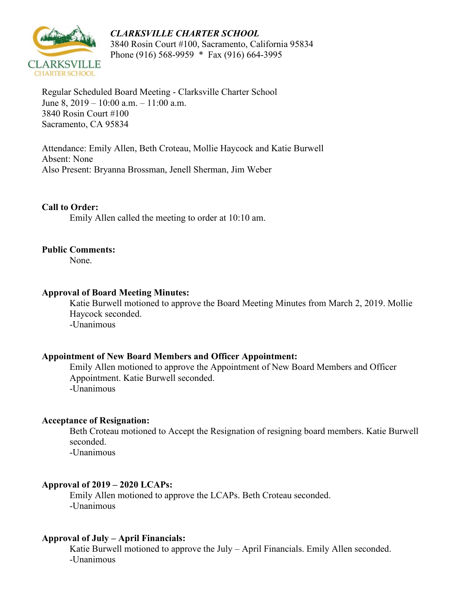

*CLARKSVILLE CHARTER SCHOOL* 3840 Rosin Court #100, Sacramento, California 95834 Phone (916) 568-9959 \* Fax (916) 664-3995

Regular Scheduled Board Meeting - Clarksville Charter School June 8, 2019 – 10:00 a.m. – 11:00 a.m. 3840 Rosin Court #100 Sacramento, CA 95834

Attendance: Emily Allen, Beth Croteau, Mollie Haycock and Katie Burwell Absent: None Also Present: Bryanna Brossman, Jenell Sherman, Jim Weber

## **Call to Order:**

Emily Allen called the meeting to order at 10:10 am.

#### **Public Comments:**

None.

#### **Approval of Board Meeting Minutes:**

Katie Burwell motioned to approve the Board Meeting Minutes from March 2, 2019. Mollie Haycock seconded. -Unanimous

#### **Appointment of New Board Members and Officer Appointment:**

Emily Allen motioned to approve the Appointment of New Board Members and Officer Appointment. Katie Burwell seconded. -Unanimous

#### **Acceptance of Resignation:**

Beth Croteau motioned to Accept the Resignation of resigning board members. Katie Burwell seconded.

-Unanimous

#### **Approval of 2019 – 2020 LCAPs:**

Emily Allen motioned to approve the LCAPs. Beth Croteau seconded. -Unanimous

#### **Approval of July – April Financials:**

Katie Burwell motioned to approve the July – April Financials. Emily Allen seconded. -Unanimous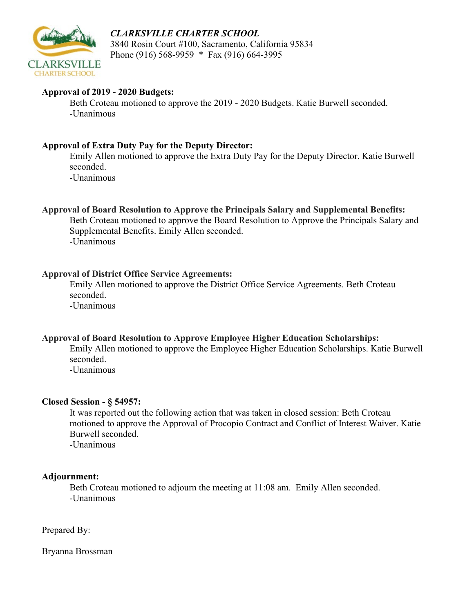

## *CLARKSVILLE CHARTER SCHOOL* 3840 Rosin Court #100, Sacramento, California 95834 Phone (916) 568-9959 \* Fax (916) 664-3995

## **Approval of 2019 - 2020 Budgets:**

Beth Croteau motioned to approve the 2019 - 2020 Budgets. Katie Burwell seconded. -Unanimous

## **Approval of Extra Duty Pay for the Deputy Director:**

Emily Allen motioned to approve the Extra Duty Pay for the Deputy Director. Katie Burwell seconded.

-Unanimous

**Approval of Board Resolution to Approve the Principals Salary and Supplemental Benefits:**

Beth Croteau motioned to approve the Board Resolution to Approve the Principals Salary and Supplemental Benefits. Emily Allen seconded. -Unanimous

# **Approval of District Office Service Agreements:**

Emily Allen motioned to approve the District Office Service Agreements. Beth Croteau seconded. -Unanimous

## **Approval of Board Resolution to Approve Employee Higher Education Scholarships:**

Emily Allen motioned to approve the Employee Higher Education Scholarships. Katie Burwell seconded.

-Unanimous

## **Closed Session - § 54957:**

It was reported out the following action that was taken in closed session: Beth Croteau motioned to approve the Approval of Procopio Contract and Conflict of Interest Waiver. Katie Burwell seconded.

-Unanimous

## **Adjournment:**

Beth Croteau motioned to adjourn the meeting at 11:08 am. Emily Allen seconded. -Unanimous

Prepared By:

Bryanna Brossman